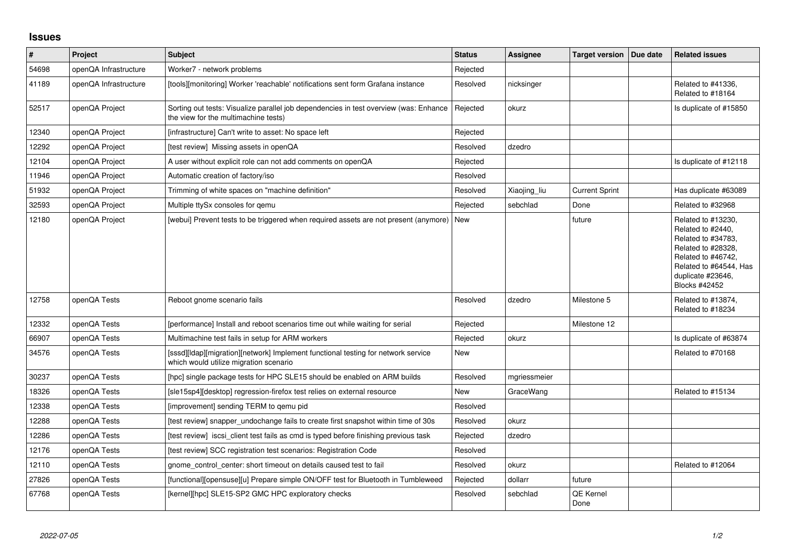## **Issues**

| $\vert$ # | <b>Project</b>        | <b>Subject</b>                                                                                                                | <b>Status</b> | <b>Assignee</b> | <b>Target version</b>    | Due date | <b>Related issues</b>                                                                                                                                                            |
|-----------|-----------------------|-------------------------------------------------------------------------------------------------------------------------------|---------------|-----------------|--------------------------|----------|----------------------------------------------------------------------------------------------------------------------------------------------------------------------------------|
| 54698     | openQA Infrastructure | Worker7 - network problems                                                                                                    | Rejected      |                 |                          |          |                                                                                                                                                                                  |
| 41189     | openQA Infrastructure | [tools][monitoring] Worker 'reachable' notifications sent form Grafana instance                                               | Resolved      | nicksinger      |                          |          | Related to #41336,<br>Related to #18164                                                                                                                                          |
| 52517     | openQA Project        | Sorting out tests: Visualize parallel job dependencies in test overview (was: Enhance<br>the view for the multimachine tests) | Rejected      | okurz           |                          |          | Is duplicate of #15850                                                                                                                                                           |
| 12340     | openQA Project        | [infrastructure] Can't write to asset: No space left                                                                          | Rejected      |                 |                          |          |                                                                                                                                                                                  |
| 12292     | openQA Project        | [test review] Missing assets in openQA                                                                                        | Resolved      | dzedro          |                          |          |                                                                                                                                                                                  |
| 12104     | openQA Project        | A user without explicit role can not add comments on openQA                                                                   | Rejected      |                 |                          |          | Is duplicate of #12118                                                                                                                                                           |
| 11946     | openQA Project        | Automatic creation of factory/iso                                                                                             | Resolved      |                 |                          |          |                                                                                                                                                                                  |
| 51932     | openQA Project        | Trimming of white spaces on "machine definition"                                                                              | Resolved      | Xiaojing_liu    | <b>Current Sprint</b>    |          | Has duplicate #63089                                                                                                                                                             |
| 32593     | openQA Project        | Multiple ttySx consoles for gemu                                                                                              | Rejected      | sebchlad        | Done                     |          | Related to #32968                                                                                                                                                                |
| 12180     | openQA Project        | [webui] Prevent tests to be triggered when required assets are not present (anymore)   New                                    |               |                 | future                   |          | Related to #13230,<br>Related to #2440,<br>Related to #34783,<br>Related to #28328,<br>Related to #46742,<br>Related to #64544, Has<br>duplicate #23646,<br><b>Blocks #42452</b> |
| 12758     | openQA Tests          | Reboot gnome scenario fails                                                                                                   | Resolved      | dzedro          | Milestone 5              |          | Related to #13874,<br>Related to #18234                                                                                                                                          |
| 12332     | openQA Tests          | [performance] Install and reboot scenarios time out while waiting for serial                                                  | Rejected      |                 | Milestone 12             |          |                                                                                                                                                                                  |
| 66907     | openQA Tests          | Multimachine test fails in setup for ARM workers                                                                              | Rejected      | okurz           |                          |          | Is duplicate of #63874                                                                                                                                                           |
| 34576     | openQA Tests          | [sssd][Idap][migration][network] Implement functional testing for network service<br>which would utilize migration scenario   | <b>New</b>    |                 |                          |          | Related to #70168                                                                                                                                                                |
| 30237     | openQA Tests          | [hpc] single package tests for HPC SLE15 should be enabled on ARM builds                                                      | Resolved      | mgriessmeier    |                          |          |                                                                                                                                                                                  |
| 18326     | openQA Tests          | [sle15sp4][desktop] regression-firefox test relies on external resource                                                       | <b>New</b>    | GraceWang       |                          |          | Related to #15134                                                                                                                                                                |
| 12338     | openQA Tests          | [improvement] sending TERM to gemu pid                                                                                        | Resolved      |                 |                          |          |                                                                                                                                                                                  |
| 12288     | openQA Tests          | [test review] snapper_undochange fails to create first snapshot within time of 30s                                            | Resolved      | okurz           |                          |          |                                                                                                                                                                                  |
| 12286     | openQA Tests          | [test review] iscsi client test fails as cmd is typed before finishing previous task                                          | Rejected      | dzedro          |                          |          |                                                                                                                                                                                  |
| 12176     | openQA Tests          | [test review] SCC registration test scenarios: Registration Code                                                              | Resolved      |                 |                          |          |                                                                                                                                                                                  |
| 12110     | openQA Tests          | gnome control center: short timeout on details caused test to fail                                                            | Resolved      | okurz           |                          |          | Related to #12064                                                                                                                                                                |
| 27826     | openQA Tests          | [functional][opensuse][u] Prepare simple ON/OFF test for Bluetooth in Tumbleweed                                              | Rejected      | dollarr         | future                   |          |                                                                                                                                                                                  |
| 67768     | openQA Tests          | [kernel][hpc] SLE15-SP2 GMC HPC exploratory checks                                                                            | Resolved      | sebchlad        | <b>QE Kernel</b><br>Done |          |                                                                                                                                                                                  |